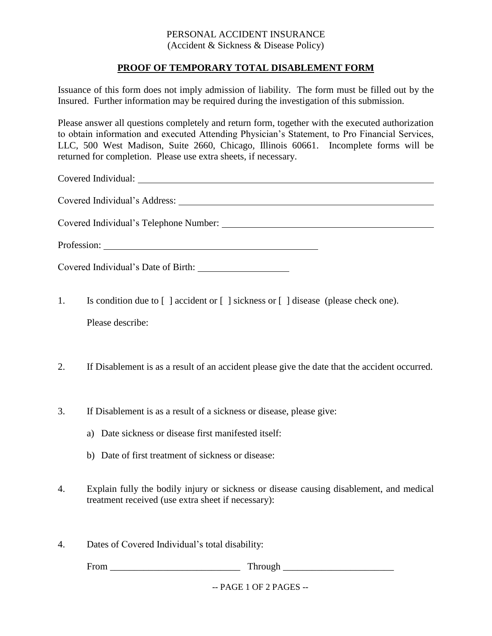## PERSONAL ACCIDENT INSURANCE (Accident & Sickness & Disease Policy)

## **PROOF OF TEMPORARY TOTAL DISABLEMENT FORM**

Issuance of this form does not imply admission of liability. The form must be filled out by the Insured. Further information may be required during the investigation of this submission.

Please answer all questions completely and return form, together with the executed authorization to obtain information and executed Attending Physician's Statement, to Pro Financial Services, LLC, 500 West Madison, Suite 2660, Chicago, Illinois 60661. Incomplete forms will be returned for completion. Please use extra sheets, if necessary.

Covered Individual:

Covered Individual's Address:

Covered Individual's Telephone Number:

Profession:

Covered Individual's Date of Birth:

- 1. Is condition due to [ ] accident or [ ] sickness or [ ] disease (please check one). Please describe:
- 2. If Disablement is as a result of an accident please give the date that the accident occurred.
- 3. If Disablement is as a result of a sickness or disease, please give:
	- a) Date sickness or disease first manifested itself:
	- b) Date of first treatment of sickness or disease:
- 4. Explain fully the bodily injury or sickness or disease causing disablement, and medical treatment received (use extra sheet if necessary):
- 4. Dates of Covered Individual's total disability:

From Through Through Through Through Through Through Through  $\sim$ 

-- PAGE 1 OF 2 PAGES --